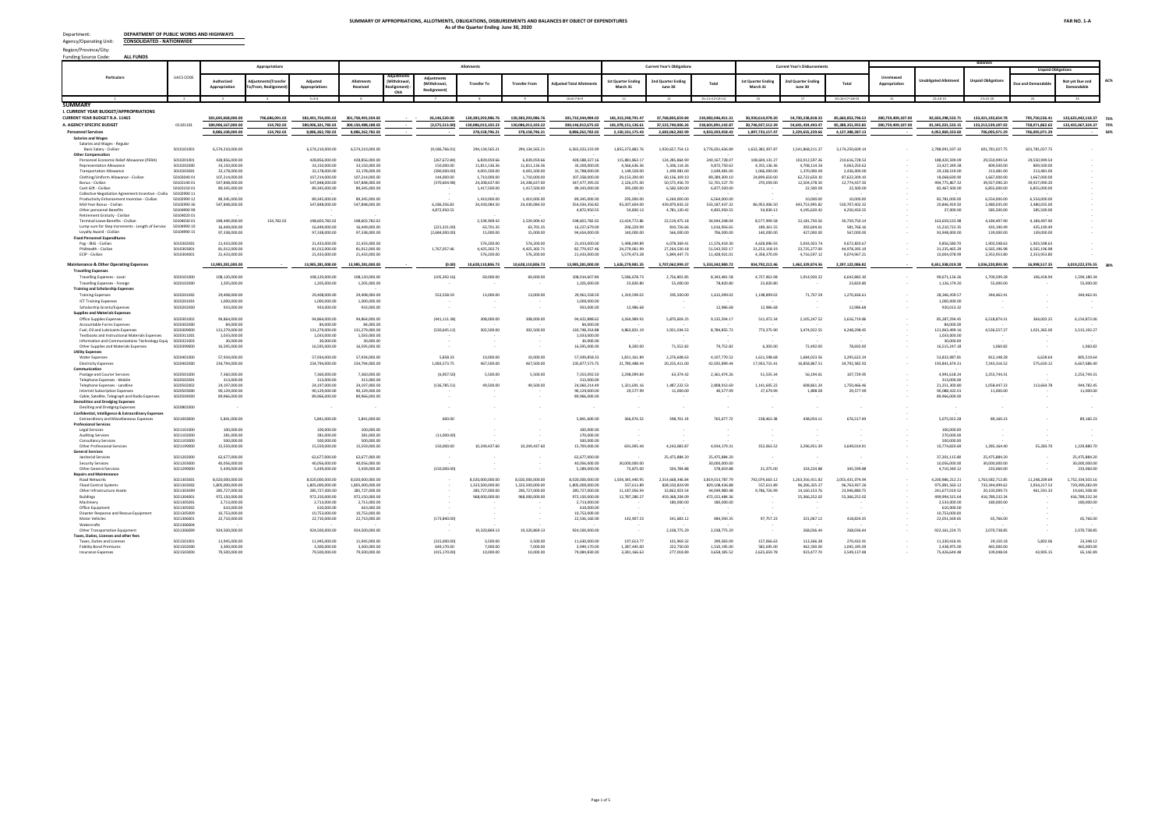

## Republic of the Philippines DEPARTMENT OF PUBLIC WORKS AND HIGHWAYS **CENTRAL OFFICE**

Manila

August 13, 2020

|       | Government Accountancy Omce. |
|-------|------------------------------|
|       | Office of the Director       |
|       | .<br>(1, 4, 4)               |
| Bv:   |                              |
| Date: | $-4 - 9$ (17                 |

**MS. LUZVI PANGAN-CHATTO** 

**Assistant Commissioner** Commission on Audit Commonwealth Ave. Quezon City

THRU: MS. VILLA DJ. BERNALDO, Director IV Government Accountancy Office

Dear Assistant Commissioner Chatto:

We respectfully submit the following Financial Accountability Reports (FARs) of the Department of Public Works and Highways - Consolidated Nationwide as of June 30, 2020.

- FAR No.  $1$  Statement of Appropriations, Allotments, Obligations, Disbursements and  $\bullet$ Balances (SAAODB)
- . FAR No. 1-A Summary of Appropriations, Allotments, Obligations, Disbursements and Balances by Object of Expenditures (SAAODBOE)
- FAR No. 1-B List of Allotments and Sub-Allotments (LASA)  $\bullet$

Please acknowledge receipt hereof.

Very truly yours,

Pensina ARDELIZA'R. MEDENILLA, MNSA, CESO I Undersecretary for Support Services  $M$ <br>8.1.1 MDA/GEC

| <b>BUDGET DIVISION. CFMS</b> |
|------------------------------|
| Prepared by:<br>Posted by:   |
| Wallard                      |
| Chief Budget Division        |
|                              |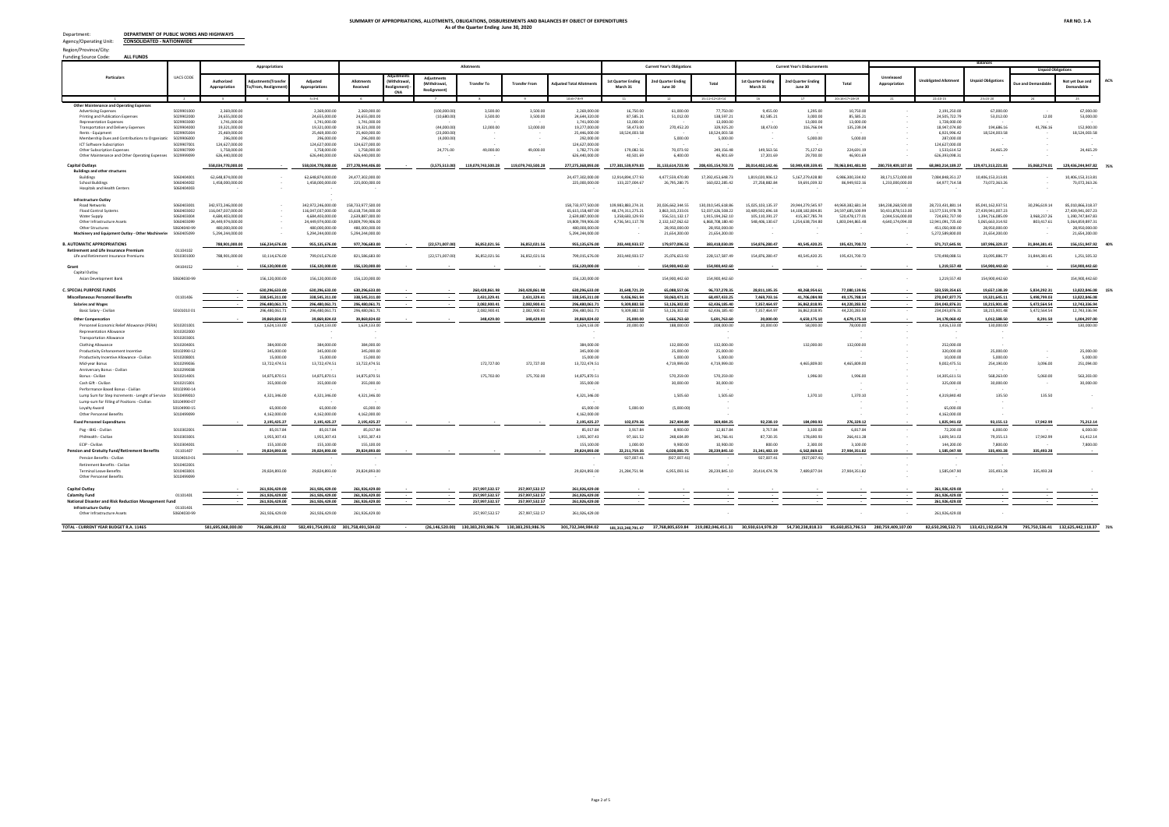In following-up, pls. cite DMS ref # 2020-BA-0070762

# REPUBLIC OF THE PHILIPPINES DEPARTMENT OF BUDGET AND MANAGEMENT

GENERAL SOLANO STREET, SAN MIGUEL, MANILA

### **ACKNOWLEDGEMENT RECEIPT**

The DEPARTMENT OF BUDGET AND MANAGEMENT hereby acknowledges the receipt of your letter/request which has been uploaded to the DBM-Document Management System and routed to the appropriate office/s with the following information:

| Sender:                                | <b>DPWH - PERSONAL DELIVERY</b>              |
|----------------------------------------|----------------------------------------------|
| Document Title:                        | DPWH-SUBMISSION OF BFARs AS OF JUNE 30, 2020 |
| Document Reference No: 2020-BA-0070762 |                                              |
| Date and Time<br>Uploaded:             | Monday, August 17, 2020 12:06:13 PM          |
| <b>Uploaded By:</b>                    | <b>RECEIVING EDUARD</b>                      |
| Routed To:                             | <b>BMB-A Christine P. Santos</b>             |
|                                        | CC:                                          |
| Total no of pages<br>received:         | 1 copy and 192 pages                         |

The determination of the completeness of the documentary requirements submitted, if any, is subject to the evaluation of the technical person in charge.

This receipt is system generated and does not require signature.

Received by:



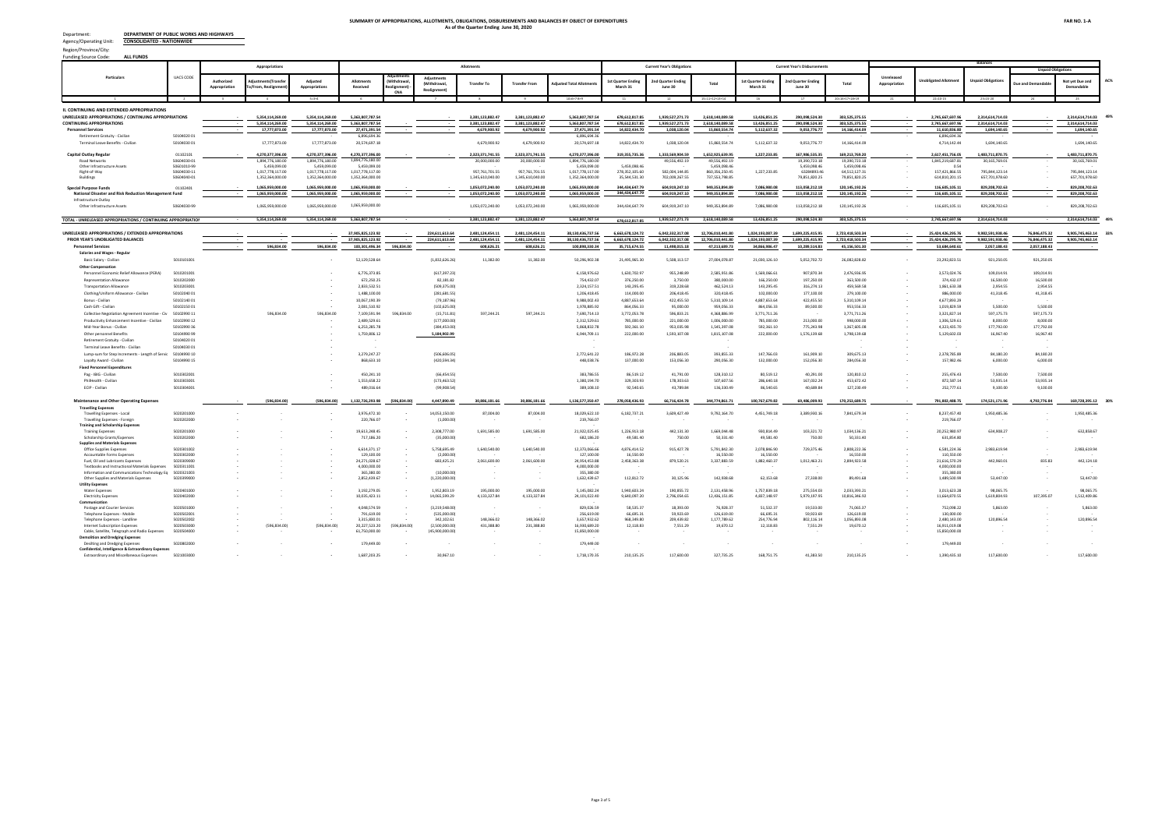

Republic of the Philippines DEPARTMENT OF PUBLIC WORKS AND HIGHWAYS **CENTRAL OFFICE** 

Manila

August 13, 2020

#### **Secretary WENDEL E. AVISADO**

Department of Budget and Management Boncodin Hall, Gen. Solano St., San Miquel, Manila

#### **ATTENTION: Director MARIA GRACE M. DE LOS SANTOS** OIC, Budget and Management Bureau-A

Dear Secretary Avisado:

We respectfully submit the following Financial Accountability Reports (FARs) of the Department of Public Works and Highways - Consolidated Nationwide as of June 30, 2020.

- FAR No. 1 Statement of Appropriations, Allotments, Obligations, Disbursements and Balances (SAAODB)
- FAR No. 1-A Summary of Appropriations, Allotments, Obligations, Disbursements and Balances (SAAODB)
- FAR No. 1-B List of Allotments and Sub-Allotments (LASA)

Please acknowledge receipt hereof.

Very truly yours,

Pronchima ARDELIZA'R, MEDENILLA, MNSA, CESO I **Undersecretary for Support Services**  $\overline{\mathcal{N}}$ 8.1.1 MDA/GEC

| <b>BUDGET DIVISION.</b> CENAS |
|-------------------------------|
| Prepared by:<br>Reviewed by:  |
| Data Enceder:<br>Posted by:   |
|                               |
| Chief Budget Division         |
|                               |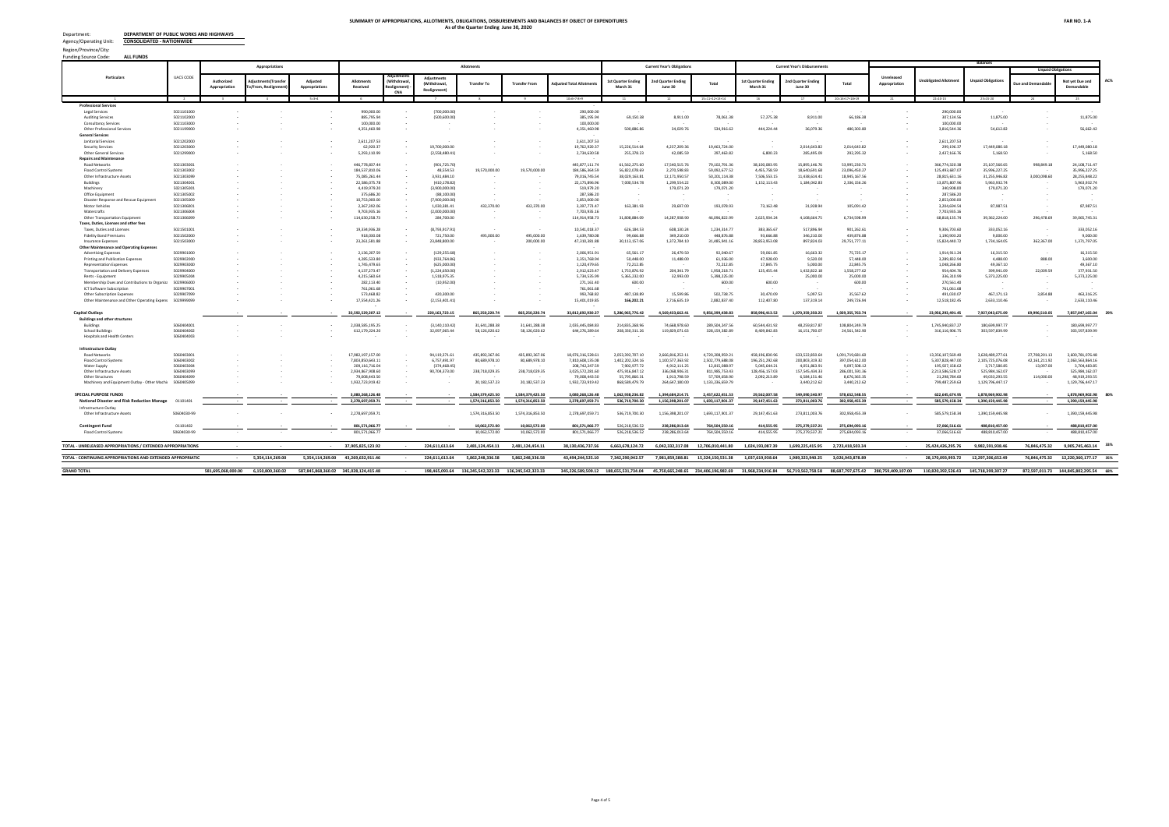| <b>ALL FUNDS</b><br><b>Funding Source Code:</b>                           |                           |                                  |                                          |                                  |                                  |                                 |                              |                               |                               |                                 |                                       |                                   |                                |                                       |                                      |                                |                             |                                 |                               |                               |                               |            |
|---------------------------------------------------------------------------|---------------------------|----------------------------------|------------------------------------------|----------------------------------|----------------------------------|---------------------------------|------------------------------|-------------------------------|-------------------------------|---------------------------------|---------------------------------------|-----------------------------------|--------------------------------|---------------------------------------|--------------------------------------|--------------------------------|-----------------------------|---------------------------------|-------------------------------|-------------------------------|-------------------------------|------------|
|                                                                           |                           |                                  | Appropriations                           |                                  |                                  |                                 |                              | <b>Allotments</b>             |                               |                                 |                                       | <b>Current Year's Obligations</b> |                                |                                       | <b>Current Year's Disbursement:</b>  |                                |                             |                                 | <b>Balances</b>               |                               |                               |            |
|                                                                           |                           |                                  |                                          |                                  |                                  |                                 |                              |                               |                               |                                 |                                       |                                   |                                |                                       |                                      |                                |                             |                                 |                               |                               | <b>Unpaid Obligations</b>     |            |
| Particulars                                                               | <b>UACS CODE</b>          | Authorizec<br>Appropriation      | diustments(Transfe<br>o/From, Realignmer | Adiusted<br>Appropriations       | Allotment<br><b>Received</b>     | Withdrawa<br>Realignment<br>CNA | (Withdrawal<br>Realignment   | <b>Transfer To</b>            | <b>Transfer From</b>          | djusted Total Allotmer          | <b>1st Quarter Ending</b><br>March 31 | 2nd Quarter Ending<br>June 30     | Total                          | <b>1st Quarter Ending</b><br>March 31 | <b>2nd Quarter Ending</b><br>June 30 | Total                          | Unreleased<br>Appropriation | <b>Jnobligated Allotmer</b>     | <b>Unpaid Obligation</b>      | ue and Der                    | Not yet Due and<br>Demandable | <b>AC%</b> |
|                                                                           |                           |                                  |                                          | $5 = 3 + 4$                      |                                  |                                 |                              |                               |                               | $10=6+7-8+9$                    |                                       |                                   | $15 = 11 + 12 + 13 + 14$       |                                       |                                      | $20=16+17+18+19$               |                             | $22 = 10 - 15$                  | $23 = 15 - 20$                |                               |                               |            |
| <b>SUMMARY</b>                                                            |                           |                                  |                                          |                                  |                                  |                                 |                              |                               |                               |                                 |                                       |                                   |                                |                                       |                                      |                                |                             |                                 |                               |                               |                               |            |
| I. CURRENT YEAR BUDGET/APPROPRIATIONS                                     |                           |                                  |                                          |                                  |                                  |                                 |                              |                               |                               |                                 |                                       |                                   |                                |                                       |                                      |                                |                             |                                 |                               |                               |                               |            |
| <b>CURRENT YEAR BUDGET R.A. 11465</b>                                     |                           | 581.695.068.000.00               | 796.686.091.02                           | 582,491,754,091.02               | 301,758,491,504.02               |                                 | 26.146,520.00                | 130,383,293,986.76            | 130,383,293,986.76            | 301,732,344,984.02              | 181,313,240,791.47                    | 37.768.805.659.84                 | 219,082,046,451.31             | 30,930,614,978.20                     | 54.730.238.818.33                    | 85,660,853,796.53              | 280,759,409,107.00          | 82,650,298,532.71               | 133,421,192,654.78            | 795,750,536.41                | 132.625.442.118.37            | 73%        |
| A. AGENCY SPECIFIC BUDGET                                                 | 01101101                  | 580.906.167.000.00               | 154.782.02                               | 580.906.321.782.02               | 300.150.488.188.02               |                                 | (3,575,513.00)               | 130.086.013.103.22            | 130.086.013.103.22            | 300.146.912.675.02              | 181.078.151.136.61                    | 37.523.740.006.26                 | 218.601.891.142.87             | 30.746.927.512.39                     | 54.641.424.443.47                    | 85.388.351.955.85              | 280.759.409.107.00          | 81.545.021.532.15               | 133.213.539.187.02            | 758.071.862.65                | 132.455.467.324.37            | 73%<br>54% |
| <b>Personnel Services</b><br><b>Salaries and Wages</b>                    |                           | 8.886.108.000.00                 | 154,782.02                               | 8,886,262,782.02                 | 8,886,262,782.02                 |                                 |                              | 378.158.796.21                | 378,158,796.21                | 8,886,262,782.02                | 2,150,331,175.43                      | 2,683,062,282.99                  | 4,833,393,458.42               | 1,897,733,157.47                      | 2,229,655,229.66                     | 4,127,388,387.13               |                             | 4.052.869.323.60                | 706,005,071.29                | 706,005,071.29                |                               |            |
| Salaries and Wages - Regula                                               |                           |                                  |                                          |                                  |                                  |                                 |                              |                               |                               |                                 |                                       |                                   |                                |                                       |                                      |                                |                             |                                 |                               |                               |                               |            |
| Basic Salary - Civilian                                                   | 5010101001                | 6,574,210,000.00                 |                                          | 6,574,210,000.00                 | 6,574,210,000.00                 |                                 | (9, 186, 766.01)             | 294,134,565.21                | 294,134,565.21                | 6,565,023,233.99                | 1,855,373,882.76                      | 1,920,657,754.13                  | 3,776,031,636.89               | 1,632,382,397.87                      | 1,541,868,211.2                      | 3,174,250,609.14               |                             | 2,788,991,597.10                | 601,781,027.75                | 601,781,027.75                |                               |            |
| <b>Other Compensation</b><br>Personnel Economic Relief Allowance (PERA)   | 5010201001                | 428.856.000.00                   |                                          | 428.856.000.00                   | 428.856.000.00                   |                                 | (267.672.84)                 | 6.839.059.66                  | 6.839.059.66                  | 428.588.327.16                  | 115.881.863.17                        | 124.285.864.90                    | 240.167.728.07                 | 108.604.131.27                        | 102.012.597.26                       | 210.616.728.53                 |                             | 188.420.599.09                  | 29.550.999.54                 | 29.550.999.54                 |                               |            |
| Representation Allowano                                                   | 5010202000                | 33,150,000.00                    |                                          | 33,150,000.00                    | 33,150,000.00                    |                                 | 150,000.00                   | 11,811,136.36                 | 11,811,136.36                 | 33,300,000.00                   | 4,566,636.36                          | 5,306,114.26                      | 9,872,750.62                   | 4,355,136.36                          | 4,708,114.26                         | 9,063,250.62                   |                             | 23,427,249.38                   | 809,500.00                    | 809,500.00                    |                               |            |
| <b>Transportation Allowance</b>                                           | 5010203001                | 32,178,000.00                    |                                          | 32,178,000.00                    | 32,178,000.00                    |                                 | (390,000.00)                 | 4,001,500.00                  | 4,001,500.00                  | 31,788,000.00                   | 1,149,500.00                          | 1,499,981.00                      | 2,649,481.00                   | 1,066,000.00                          | 1,370,000.00                         | 2,436,000.00                   |                             | 29,138,519.00                   | 213,481.00                    | 213,481.00                    |                               |            |
| Clothing/Uniform Allowance - Civilian                                     | 50102040.01<br>5010214001 | 107.214.000.00<br>547.848.000.00 |                                          | 107.214.000.00<br>547.848.000.00 | 107.214.000.00<br>547.848.000.00 |                                 | 144,000.00                   | 1.710.000.00                  | 1.710.000.00                  | 107.358.000.00                  | 29.153.200.00                         | 60.136.109.10                     | 89.289.309.10<br>52.701.527.70 | 24.899.650.00                         | 62.722.659.10                        | 87.622.309.10                  |                             | 18.068.690.90                   | 1.667.000.00                  | 1.667.000.00                  |                               |            |
| Bonus - Civilian<br>Cash Gift - Civilian                                  | 5010215001                | 89,345,000.00                    |                                          | 89,345,000.00                    | 89.345.000.00                    |                                 | (370, 604.98)                | 24,208,637.00<br>1,417,500.00 | 24,208,637.00<br>1,417,500.00 | 547,477,395.02<br>89.345.000.00 | 2,126,071.00<br>295,000.00            | 50,575,456.70<br>6,582,500.00     | 6.877.500.00                   | 270,059.00                            | 12,504,378.50<br>22,500.00           | 12,774,437.50<br>22,500.00     |                             | 494,775,867.32<br>82.467.500.00 | 39,927,090.20<br>6,855,000.00 | 39,927,090.20<br>6,855,000.00 |                               |            |
| Collective Negotiation Agreement Incentive - Civilia                      | 50102990 11               |                                  |                                          |                                  |                                  |                                 |                              |                               |                               |                                 |                                       |                                   |                                |                                       |                                      |                                |                             |                                 |                               |                               |                               |            |
| Productivity Enhancement Incentive - Civilian                             | 50102990.12               | 89.345.000.00                    |                                          | 89 345 000 00                    | 89 345 000 00                    |                                 |                              | 1.410.000.00                  | 1.410.000.00                  | 89.345.000.00                   | 295,000.00                            | 6.269.000.00                      | 6.564.000.00                   |                                       | 10,000.00                            | 10.000.00                      |                             | 82.781.000.00                   | 6.554.000.00                  | 6.554.000.00                  |                               |            |
| Mid-Year Bonus - Civiliar<br>Other personnel Benefits                     | 5010299036<br>5010499099  | 547.848.000.00                   |                                          | 547,848,000.00                   | 547.848.000.00                   |                                 | 6,186,356.82<br>4.872.950.55 | 24.430.084.50                 | 24.430.084.50                 | 554.034.356.82<br>4.872.950.55  | 93.307.604.00<br>54,830.13            | 439.879.833.32<br>4.781.120.42    | 533.187.437.32<br>4.835.950.55 | 86.953.406.50<br>54,830.13            | 143.753.995.82<br>4.195.620.42       | 530.707.402.32<br>4.250.450.55 |                             | 20.846.919.50<br>37,000.00      | 2.480.035.00<br>585,500.00    | 2.480.035.00<br>585,500.00    |                               |            |
| Retirement Gratuity - Civilian                                            | 50104020.01               |                                  |                                          |                                  |                                  |                                 |                              |                               |                               |                                 |                                       |                                   |                                |                                       |                                      |                                |                             |                                 |                               |                               |                               |            |
| Terminal Leave Benefits - Civiliar                                        | 5010403001                | 198,449,000.00                   | 154,782.02                               | 198,603,782.02                   | 198,603,782.02                   |                                 |                              | 2,539,909.42                  | 2,539,909.42                  | 198,603,782.02                  | 12,424,772.86                         | 22,519,475.18                     | 34,944,248.04                  | 8,577,999.58                          | 22,181,750.56                        | 30,759,750.14                  |                             | 163,659,533.98                  | 4,184,497.90                  | 4,184,497.90                  |                               |            |
| Lump-sum for Step Increments - Length of Service                          | 50104990 10               | 16,449,000.00                    |                                          | 16,449,000.00                    | 16,449,000.00                    |                                 | (221, 321.00)                | 63.701.35                     | 63,701.35                     | 16,227,679.00                   | 206.229.99                            | 810.726.66                        | 1.016.956.65                   | 189.161.55                            | 392.604.61                           | 581.766.16                     |                             | 15,210,722.35                   | 435.190.49                    | 435.190.49                    |                               |            |
| Lovalty Award - Civilian<br><b>Fixed Personnel Expenditures</b>           | 5010499015                | 97.338.000.00                    |                                          | 97.338.000.00                    | 97.338.000.00                    |                                 | (2.684,000,00)               | 15.000.00                     | 15,000.00                     | 94.654.000.00                   | 140,000.00                            | 566,000.00                        | 706,000.00                     | 140,000.00                            | 427,000.00                           | 567,000.00                     |                             | 93.948.000.00                   | 139,000.00                    | 139,000.00                    |                               |            |
| Pag - IBIG - Civilian                                                     | 5010302001                | 21.433.000.00                    |                                          | 21.433.000.00                    | 21.433.000.00                    |                                 |                              | 576,200.00                    | 576,200.00                    | 21.433.000.00                   | 5.498.049.89                          | 6.078.369.41                      | 11.576.419.30                  | 4.628.896.93                          | 5.043.923.74                         | 9.672.820.67                   |                             | 9.856.580.70                    | 1.903.598.63                  | 1.903.598.63                  |                               |            |
| PhilHealth - Civilian                                                     | 5010303001                | 81.012.000.00                    |                                          | 81.012.000.00                    | 81.012.000.00                    |                                 | 1.767.057.46                 | 4,425,302.71                  | 4,425,302.71                  | 82,779,057.46                   | 24.279.061.99                         | 27,264,530.18                     | 51.543.592.17                  | 21,253,118.19                         | 23,725,277.00                        | 44.978.395.19                  |                             | 31,235,465.29                   | 6.565.196.98                  | 6.565.196.98                  |                               |            |
| ECIP - Civilian                                                           | 5010304001                | 21.433.000.00                    |                                          | 21.433.000.00                    | 21.433.000.00                    |                                 |                              | 576.200.00                    | 576,200.00                    | 21.433.000.00                   | 5.579.473.28                          | 5.849.447.73                      | 11.428.921.01                  | 4.358.370.09                          | 4.716.597.12                         | 9.074.967.21                   |                             | 10.004.078.99                   | 2.353.953.80                  | 2.353.953.80                  |                               |            |
| <b>Maintenance &amp; Other Operating Expenses</b>                         |                           | 13,985,281,000.00                |                                          | 13,985,281,000.00                | 3,985,281,000.00                 |                                 | (0.00)                       | 10,628,110,806.73             | 0,628,110,806.73              | 13,985,281,000.00               | 1,626,279,981.35                      | 3,707,062,999.3                   | 5,333,342,980.72               | 834,792,212.46                        | 1,462,329,874.36                     | 2,297,122,086.82               |                             | 8,651,938,019.28                | 3,036,220,893.90              | 16,998,517.35                 | 3,019,222,376.55              | 389        |
| <b>Travelling Expenses</b>                                                |                           |                                  |                                          |                                  |                                  |                                 |                              |                               |                               |                                 |                                       |                                   |                                |                                       |                                      |                                |                             |                                 |                               |                               |                               |            |
| <b>Travelling Expenses - Local</b>                                        | 5020101000                | 108.120.000.00                   |                                          | 108.120.000.00                   | 108.120.000.00                   |                                 | (105.392.16)                 | 69,000.00                     | 69,000,00                     | 108.014.607.84                  | 5.586.678.73                          | 2.756.802.85                      | 8.343.481.58                   | 4.727.962.08                          | 1.914.920.22                         | 6.642.882.30                   |                             | 99.671.126.26                   | 1.700.599.28                  | 106.418.94                    | 1.594.180.34                  |            |
| <b>Travelling Expenses - Foreign</b>                                      | 5020102000                | 1,205,000.00                     |                                          | 1,205,000.00                     | 1,205,000.00                     |                                 |                              |                               |                               | 1,205,000.00                    | 23,820.80                             | 55,000.00                         | 78,820.80                      | 23,820.80                             |                                      | 23,820.80                      |                             | 1,126,179.20                    | 55,000.00                     |                               | 55,000.00                     |            |
| <b>Training and Scholarship Expenses</b><br><b>Training Expenses</b>      | 5020201002                | 29,408,000.00                    |                                          | 29,408,000.00                    | 29,408,000.00                    |                                 | 553,558.59                   | 13,000.00                     | 13,000.00                     | 29,961,558.59                   | 1,319,599.02                          | 295,500.00                        | 1,615,099.02                   | 1,198,899.02                          | 71,737.59                            | 1,270,636.61                   |                             | 28,346,459.57                   | 344,462.41                    |                               | 344,462.41                    |            |
| <b>ICT Training Expenses</b>                                              | 5020201001                | 1.000.000.00                     |                                          | 1.000.000.00                     | 1.000.000.00                     |                                 |                              |                               |                               | 1,000,000,00                    |                                       |                                   |                                |                                       |                                      |                                |                             | 1.000.000.00                    |                               |                               |                               |            |
| Scholarshin Grants/Expenser                                               | 5020202000                | 933,000.00                       |                                          | 933,000.00                       | 933,000.00                       |                                 |                              |                               |                               | 933,000.00                      | 12.986.68                             |                                   | 12.986.68                      | 12.986.68                             |                                      | 12.986.68                      |                             | 920.013.32                      |                               |                               |                               |            |
| <b>Supplies and Materials Expense</b>                                     |                           |                                  |                                          |                                  |                                  |                                 |                              |                               |                               |                                 |                                       |                                   |                                |                                       |                                      |                                |                             |                                 |                               |                               |                               |            |
| Office Supplies Expenses                                                  | 5020301002                | 94.864.000.00                    |                                          | 94.864.000.00                    | 94.864.000.00                    |                                 | (441.111.38)                 | 308,000.00                    | 308,000.00                    | 94.422.888.62                   | 3.264.989.92                          | 5.870.604.25                      | 9.135.594.17                   | 511.472.34                            | 2.105.247.52                         | 2.616.719.86                   |                             | 85.287.294.45                   | 6.518.874.31                  | 364.002.25                    | 6.154.872.06                  |            |
| Accountable Forms Expense<br>Fuel, Oil and Lubricants Expenses            | 5020302000<br>5020309000  | 84,000.00<br>131,279,000.00      |                                          | 84,000.00<br>131,279,000.00      | 84,000,00<br>131,279,000.00      |                                 | (530, 645.12)                | 302,500.00                    | 302,500.00                    | 84,000.00<br>130,748,354.88     | 4,863,821.19                          | 3,921,034.53                      | 8,784,855.72                   | 773,375.90                            | 3,474,922.55                         | 4,248,298.45                   |                             | 84,000.00<br>121,963,499.16     | 4,536,557.27                  | 1,021,365.00                  | 3,515,192.27                  |            |
| Textbooks and Instructional Materials Expenses                            | 5020311001                | 1.033.000.00                     |                                          | 1.033.000.00                     | 1.033.000.00                     |                                 |                              |                               |                               | 1.033.000.00                    |                                       |                                   |                                |                                       |                                      |                                |                             | 1.033.000.00                    |                               |                               |                               |            |
| Information and Communications Technology Equi                            | 5020321003                | 30,000,00                        |                                          | 30,000,00                        | 30,000,00                        |                                 |                              |                               |                               | 30,000,00                       |                                       |                                   |                                |                                       |                                      |                                |                             | 30,000,00                       |                               |                               |                               |            |
| Other Supplies and Materials Expenses                                     | 5020399000                | 16,595,000.00                    |                                          | 16,595,000.00                    | 16.595.000.00                    |                                 |                              |                               |                               | 16,595,000.00                   | 8,200.00                              | 71,552.82                         | 79.752.82                      | 6,200.00                              | 72,492.00                            | 78,692.00                      |                             | 16,515,247.18                   | 1.060.82                      |                               | 1.060.82                      |            |
| <b>Utility Expenses</b><br>Water Expense:                                 | 5020401000                | 57.934.000.00                    |                                          | 57.934.000.00                    | 57.934.000.00                    |                                 | 5.858.33                     | 10,000.00                     | 10,000.00                     | 57.939.858.33                   | 1.831.161.89                          | 2.276.608.63                      | 4.107.770.52                   | 1.611.598.68                          | 1.684.023.56                         | 3.295.622.24                   |                             | 53.832.087.81                   | 812.148.28                    | 6.628.64                      | 805.519.64                    |            |
| <b>Electricity Expenses</b>                                               | 5020402000                | 234.794.000.00                   |                                          | 234.794.000.00                   | 234.794.000.00                   |                                 | 1.083.573.75                 | 467.500.00                    | 467.500.00                    | 235.877.573.75                  | 21,780,488,44                         | 20.255.411.00                     | 42.035.899.44                  | 17.933.715.41                         | 16,858,867.51                        | 34.792.582.92                  |                             | 193.841.674.31                  | 7.243.316.52                  | 575.630.12                    | 6.667.686.40                  |            |
| Communication                                                             |                           |                                  |                                          |                                  |                                  |                                 |                              |                               |                               |                                 |                                       |                                   |                                |                                       |                                      |                                |                             |                                 |                               |                               |                               |            |
| Postage and Courier Services<br>Telephone Expenses - Mobile               | 5020501000<br>5020502001  | 7.360,000.00<br>313,000.00       |                                          | 7.360.000.00<br>313,000.00       | 7.360.000.00<br>313,000.00       |                                 | (6,907.50)                   | 5,500.00                      | 5,500.00                      | 7.353.092.50<br>313,000.00      | 2,298,099.84                          | 63,374.42                         | 2.361.474.26                   | 51,535.34                             | 56,194.61                            | 107,729.95                     |                             | 4.991.618.24<br>313,000.00      | 2,253,744.31                  |                               | 2,253,744.31                  |            |
| Telephone Expenses - Landline                                             | 5020502002                | 24,197,000.00                    |                                          | 24,197,000.00                    | 24,197,000.00                    |                                 | (136, 785.51)                | 49,500.00                     | 49,500.00                     | 24.060.214.49                   | 1,321,691.16                          | 1,487,222.53                      | 2,808,913.69                   | 1,141,605.22                          | 608.861.24                           | 1.750.466.46                   |                             | 21.251.300.80                   | 1,058,447.23                  | 113,664.78                    | 944,782.45                    |            |
| Internet Subscription Expense                                             | 5020503000                | 90.129.000.00                    |                                          | 90.129.000.00                    | 90.129.000.00                    |                                 |                              |                               |                               | 90.129.000.00                   | 29,577.99                             | 11,000.00                         | 40,577.99                      | 27,679.99                             | 1,898.00                             | 29,577.99                      |                             | 90.088.422.01                   | 11,000.00                     |                               | 11,000.00                     |            |
| Cable, Satellite, Telegraph and Radio Expense                             | 5020504000                | 89,966,000.00                    |                                          | 89,966,000.00                    | 89,966,000.00                    |                                 |                              |                               |                               | 89,966,000.00                   |                                       |                                   |                                |                                       |                                      |                                |                             | 89,966,000.00                   |                               |                               |                               |            |
| <b>Demolition and Dredging Expense</b><br>Desilting and Dredging Expenses | 5020802000                |                                  |                                          |                                  |                                  |                                 |                              |                               |                               |                                 | $\sim$                                | $\sim$                            |                                | $\sim$                                |                                      |                                |                             |                                 |                               |                               |                               |            |
| Confidential, Intelligence & Extraordinary Expenses                       |                           |                                  |                                          |                                  |                                  |                                 |                              |                               |                               |                                 |                                       |                                   |                                |                                       |                                      |                                |                             |                                 |                               |                               |                               |            |
| Extraordinary and Miscellaneous Expenses                                  | 5021003000                | 5.841.000.00                     |                                          | 5,841,000.00                     | 5.841.000.00                     |                                 | 600.00                       |                               |                               | 5,841,600.00                    | 366,976.53                            | 398,701.19                        | 765,677.72                     | 238.463.38                            | 438,054.11                           | 676,517.49                     |                             | 5.075.922.28                    | 89.160.23                     |                               | 89.160.23                     |            |
| <b>Professional Services</b><br><b>Legal Services</b>                     | 5021101000                | 100,000.00                       |                                          | 100,000.00                       | 100,000.00                       |                                 |                              |                               |                               | 100,000.00                      |                                       |                                   |                                |                                       |                                      |                                |                             | 100,000.00                      |                               |                               |                               |            |
| <b>Auditing Services</b>                                                  | 5021102000                | 281,000.00                       |                                          | 281,000.00                       | 281,000.00                       |                                 | (11,000.00)                  |                               |                               | 270,000.00                      |                                       |                                   |                                |                                       |                                      |                                |                             | 270,000.00                      |                               |                               |                               |            |
| <b>Consultancy Services</b>                                               | 5021103000                | 500,000.00                       |                                          | 500,000.00                       | 500,000.00                       |                                 |                              |                               |                               | 500,000.00                      |                                       |                                   |                                |                                       |                                      |                                |                             | 500,000.00                      |                               |                               |                               |            |
| Other Professional Services                                               | 5021199000                | 15,559,000.00                    |                                          | 15,559,000.00                    | 15,559,000.00                    |                                 | 150,000.00                   | 10,249,437.60                 | 10,249,437.60                 | 15,709,000.00                   | 691,095.44                            | 4,243,083.87                      | 4,934,179.31                   | 352,063.52                            | 3,296,951.39                         | 3,649,014.91                   |                             | 10,774,820.69                   | 1,285,164.40                  | 55,283.70                     | 1,229,880.70                  |            |
| <b>General Services</b><br>Janitorial Services                            | 5021202000                | 62.677.000.00                    |                                          | 62.677.000.00                    | 62.677.000.00                    |                                 |                              |                               |                               | 62.677.000.00                   |                                       | 25,475,884.20                     | 25.475.884.20                  | $\sim$                                |                                      |                                |                             | 37.201.115.80                   | 25.475.884.20                 |                               | 25.475.884.20                 |            |
| <b>Security Services</b>                                                  | 5021203000                | 40.056.000.00                    |                                          | 40.056.000.00                    | 40.056.000.00                    |                                 |                              |                               |                               | 40.056.000.00                   | 30,000,000.00                         |                                   | 30.000.000.00                  |                                       |                                      |                                |                             | 10.056.000.00                   | 30,000,000.00                 |                               | 30,000,000,00                 |            |
| <b>Other General Services</b>                                             | 5021299000                | 5.439.000.00                     |                                          | 5.439.000.00                     | 5.439.000.00                     |                                 | (150,000,00)                 |                               |                               | 5.289.000.00                    | 73,875.00                             | 504.784.88                        | 578,659.88                     | 21.375.00                             | 324.224.88                           | 345.599.88                     |                             | 4.710.340.12                    | 233,060,00                    |                               | 233,060,00                    |            |
| <b>Repairs and Maintenance</b><br><b>Road Networks</b>                    | 5021303001                | 8.020.000.000.00                 |                                          | 8.020.000.000.00                 | 8.020.000.000.00                 |                                 |                              | 8.020.000.000.00              | 8.020.000.000.00              | 8.020.000.000.00                | 1.504.345.440.95                      | 2.314.668.346.84                  | 3.819.013.787.79               | 792,074,663.12                        | 1,263,356,411.82                     | 2.055.431.074.94               |                             | 4,200,986,212.21                | 1.763.582.712.85              | 11,248,209.69                 | 1.752.334.503.16              |            |
| <b>Flood Control System</b>                                               | 5021303002                | 1.805.000.000.00                 |                                          | 1.805.000.000.00                 | 1.805.000.000.00                 |                                 |                              | 1.323.500.000.00              | 1.323.500.000.00              | 1.805.000.000.00                | 557.611.89                            | 828.550.824.99                    | 829.108.436.88                 | 557.611.89                            | 96.206.325.37                        | 96.763.937.26                  |                             | 975.891.563.12                  | 732.344.499.62                | 2.954.217.53                  | 729.390.282.09                |            |
| Other Infrastructure Assets                                               | 5021303099                | 285.727.000.00                   |                                          | 285.727.000.00                   | 285.727.000.00                   |                                 |                              | 285.727.000.00                | 285.727.000.00                | 285.727.000.00                  | 11.187.056.94                         | 32.862.923.54                     | 44.049.980.48                  | 9.786.726.99                          | 14.160.153.76                        | 23,946,880.75                  |                             | 241.677.019.52                  | 20.103.099.73                 | 461.591.33                    | 19.641.508.40                 |            |
| <b>Buildings</b>                                                          | 5021304001                | 972,150,000.00                   |                                          | 972,150,000.00                   | 972,150,000.00                   |                                 |                              | 968,000,000.00                | 968,000,000.00                | 972,150,000.00                  | 12,787,280.27                         | 459,368,204.09                    | 472,155,484.36                 |                                       | 55,366,252.02                        | 55,366,252.02                  |                             | 499,994,515.64                  | 416,789,232.34                |                               | 416,789,232.34                |            |
| Machinery                                                                 | 5021305001                | 2.713.000.00                     |                                          | 2.713.000.00                     | 2.713.000.00                     |                                 |                              |                               |                               | 2.713.000.00                    |                                       | 180,000.00                        | 180,000,00                     |                                       |                                      |                                |                             | 2.533.000.00                    | 180,000.00                    |                               | 180,000,00                    |            |
| Office Equipment<br>Disaster Response and Rescue Equipmen                 | 5021305002<br>5021305009  | 610.000.00<br>10,753,000.00      |                                          | 610,000,00<br>10,753,000.00      | 610,000.00<br>10,753,000.00      |                                 |                              |                               |                               | 610,000,00<br>10,753,000.00     |                                       |                                   |                                |                                       |                                      |                                |                             | 610.000.00<br>10,753,000.00     |                               |                               |                               |            |
| <b>Motor Vehicles</b>                                                     | 5021306001                | 22.710.000.00                    |                                          | 22.710.000.00                    | 22.710.000.00                    |                                 | (173, 840.00)                |                               |                               | 22.536.160.00                   | 142,907.23                            | 341.683.12                        | 484,590.35                     | 97,757.23                             | 321.067.12                           | 418,824.35                     |                             | 22.051.569.65                   | 65,766.00                     |                               | 65,766.00                     |            |
| <b>Watercrafts</b>                                                        | 5021306004                |                                  |                                          |                                  |                                  |                                 |                              |                               |                               |                                 |                                       |                                   |                                |                                       |                                      |                                |                             |                                 |                               |                               |                               |            |
| Other Transportation Equipment<br>Taxes, Duties, Licenses and other fees  | 5021306099                | 924,500,000.00                   |                                          | 924,500,000.00                   | 924,500,000.00                   |                                 |                              | 19,320,869.13                 | 19,320,869.13                 | 924,500,000.00                  |                                       | 2,338,775.29                      | 2,338,775.29                   |                                       | 268,036.44                           | 268,036.44                     |                             | 922,161,224.71                  | 2,070,738.85                  |                               | 2,070,738.85                  |            |
| Taxes. Duties and Licenses                                                | 5021501001                | 11.945.000.00                    |                                          | 11.945.000.00                    | 11.945.000.00                    |                                 | (315.000.00)                 | 3.500.00                      | 3.500.00                      | 11.630.000.00                   | 197.613.77                            | 101.969.32                        | 299.583.09                     | 157.066.63                            | 113.366.28                           | 270.432.91                     |                             | 11.330.416.91                   | 29.150.18                     | 5.802.06                      | 23.348.12                     |            |
| <b>Fidelity Bond Premiums</b>                                             | 5021502000                | 3.300.000.00                     |                                          | 3.300.000.00                     | 3.300.000.00                     |                                 | 649.170.00                   | 7.000.00                      | 7.000.00                      | 3.949.170.00                    | 1.287.445.00                          | 222.750.00                        | 1.510.195.00                   | 582.695.00                            | 462.500.00                           | 1.045.195.00                   |                             | 2.438.975.00                    | 465,000.00                    |                               | 465,000.00                    |            |
| <b>Insurance Expenses</b>                                                 | 5021503000                | 79,500,000,00                    |                                          | 79.500.000.00                    | 79.500.000.00                    |                                 | (415.170.00)                 | 10,000.00                     | 10,000.00                     | 79.084.830.00                   | 3.381.166.63                          | 277.018.89                        | 3.658.185.52                   | 2.625.659.78                          | 923.477.70                           | 3.549.137.48                   |                             | 75.426.644.48                   | 109.048.04                    | 43,905.15                     | 65.142.89                     |            |

#### **SUMMARY OF APPROPRIATIONS, ALLOTMENTS, OBLIGATIONS, DISBURSEMENTS AND BALANCES BY OBJECT OF EXPENDITURES As of the Quarter Ending June 30, 2020**

Region/Province/City: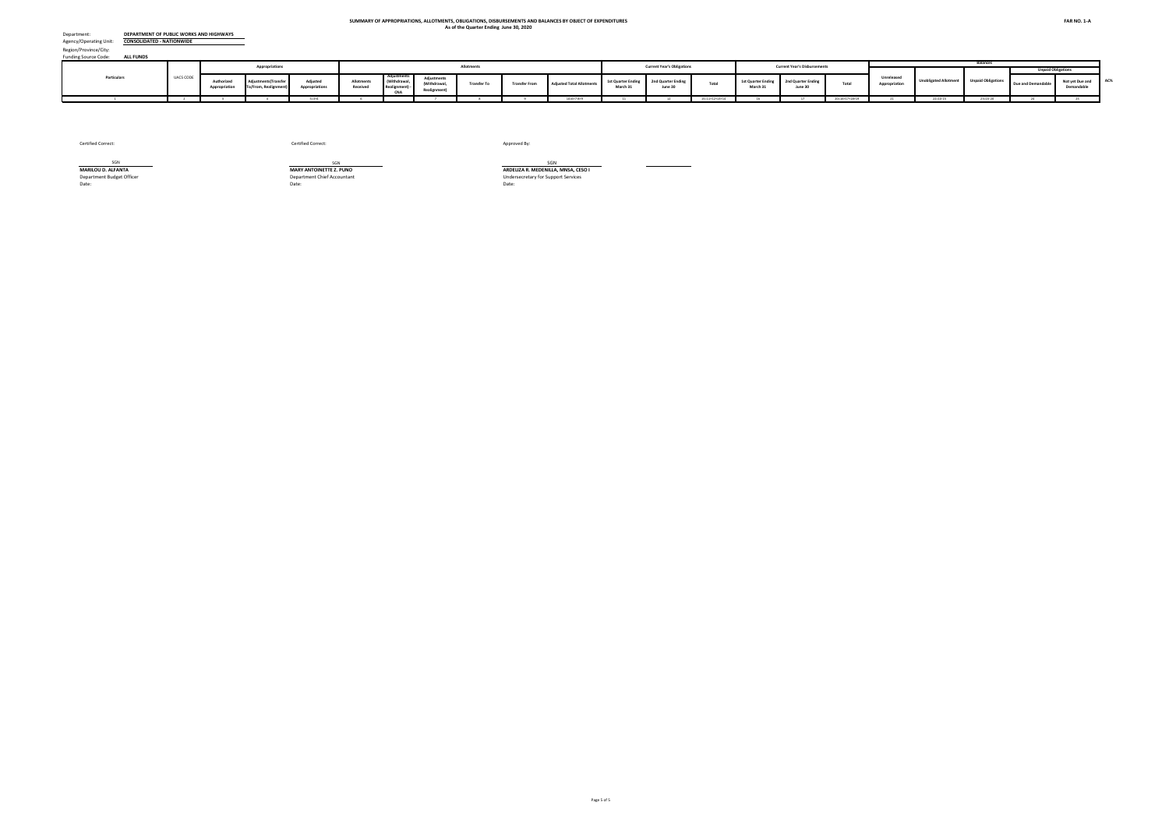Funding Source Code: Region/Province/City:

| 1551011<br>Funding Source Code:<br><b>ALL FUNDS</b>                           |                           |                                          |                                              |                                          |                                         |                                |                                                 |                                                       |                              |                                         |                                         |                                                                                                                                  |                                         |                                        |                                        |                                        |                                         |                                        |                                        |                              |                                        |
|-------------------------------------------------------------------------------|---------------------------|------------------------------------------|----------------------------------------------|------------------------------------------|-----------------------------------------|--------------------------------|-------------------------------------------------|-------------------------------------------------------|------------------------------|-----------------------------------------|-----------------------------------------|----------------------------------------------------------------------------------------------------------------------------------|-----------------------------------------|----------------------------------------|----------------------------------------|----------------------------------------|-----------------------------------------|----------------------------------------|----------------------------------------|------------------------------|----------------------------------------|
|                                                                               |                           |                                          | <b>Appropriations</b>                        |                                          |                                         |                                |                                                 | Allotment                                             |                              |                                         |                                         | <b>Current Year's Obligations</b>                                                                                                |                                         |                                        | <b>Current Year's Disbursements</b>    |                                        |                                         |                                        | <b>Balances</b>                        | <b>Unpaid Obligations</b>    |                                        |
| Particulars                                                                   | <b>UACS CODE</b>          | <b>Luthorized</b><br>Appropriation       | tments(Transfe<br><b>To/From, Realignmen</b> | Adjuster<br>Appropriations               | Allotment<br>Received                   | Withdrawa<br>ealignment<br>CNA | Adiustme<br>Withdrawal.<br><b>Realignment</b> ) | <b>Transfer To</b>                                    | <b>Transfer From</b>         | <b>Adiusted Total Allotme</b>           | <b>1st Quarter Ending</b><br>March 31   | 2nd Quarter Ending<br>June 30                                                                                                    | Total                                   | <b>1st Quarter Ending</b><br>March 31  | 2nd Quarter Ending<br>June 30          | Tota                                   | Unreleased<br>Appropriation             | <b>Jnobligated Allotment</b>           | <b>Unpaid Obligation</b>               | ue and Demanda               | Not yet Due and<br>Demandable          |
|                                                                               |                           |                                          |                                              | $5 = 3 + 4$                              |                                         |                                |                                                 |                                                       |                              | $10=6+7-8+9$                            |                                         |                                                                                                                                  | $5 = 11 + 12 + 13 + 14$                 | 16                                     |                                        | $20=16+17+18+19$                       |                                         | $22 = 10 - 15$                         | $23 = 15 - 20$                         |                              |                                        |
| <b>Other Maintenance and Operating Expenses</b>                               | 5029901000                |                                          |                                              |                                          |                                         |                                | (100.000.00)                                    | 3.500.00                                              | 3.500.00                     |                                         |                                         | 61,000.00                                                                                                                        | 77,750.00                               | 9,455.00                               | 1.295.00                               | 10,750.00                              |                                         |                                        |                                        |                              |                                        |
| <b>Advertising Expense:</b><br>Printing and Publication Expenses              | 5029902000                | 2,369,000.00<br>24,655,000.00            |                                              | 2,369,000.00<br>24,655,000.00            | 2,369,000.00<br>24,655,000.00           |                                | (10.680.00)                                     | 3,500.00                                              | 3,500.00                     | 2,269,000.00<br>24,644,320.00           | 16,750.00<br>87,585.21                  | 51,012.00                                                                                                                        | 138,597.21                              | 82,585.21                              | 3,000.00                               | 85,585.21                              |                                         | 2,191,250.00<br>24,505,722.79          | 67,000.00<br>53.012.00                 | 12.00                        | 67,000.00<br>53,000.00                 |
| <b>Representation Expenses</b>                                                | 5029903000                | 1.741.000.00                             |                                              | 1.741.000.00                             | 1.741.000.00                            |                                |                                                 |                                                       |                              | 1.741.000.00                            | 13,000.00                               |                                                                                                                                  | 13,000.00                               |                                        | 13,000.00                              | 13.000.00                              |                                         | 1.728,000.00                           |                                        |                              |                                        |
| <b>Transportation and Delivery Expenses</b>                                   | 5029904000<br>5029905004  | 19,321,000.00<br>25.469.000.00           |                                              | 19,321,000.00                            | 19,321,000.00<br>25.469.000.00          |                                | (44,000.00)<br>(23,000,00)                      | 12,000.00                                             | 12,000.00                    | 19,277,000.00<br>25.446.000.00          | 59,473.00                               | 270,452.20                                                                                                                       | 329,925.20<br>18.524.003.58             | 18,473.00                              | 116,766.04                             | 135,239.04                             |                                         | 18,947,074.80                          | 194,686.16                             | 41,786.16                    | 152,900.00<br>18.524.003.58            |
| Rents - Equipment<br>Membership Dues and Contributions to Organizatio         | 5029906000                | 296,000.00                               |                                              | 25,469,000.00<br>296,000.00              | 296.000.00                              |                                | (4,000.00)                                      |                                                       |                              | 292,000.00                              | 18,524,003.58                           | 5,000.00                                                                                                                         | 5,000.00                                |                                        | 5,000.00                               | 5,000.00                               |                                         | 6,921,996.42<br>287,000.00             | 18,524,003.58                          |                              |                                        |
| <b>ICT Software Subscription</b>                                              | 5029907001                | 124.627.000.00                           |                                              | 124.627.000.00                           | 124.627.000.00                          |                                |                                                 |                                                       |                              | 124.627.000.00                          |                                         |                                                                                                                                  |                                         |                                        |                                        |                                        |                                         | 124.627.000.00                         |                                        |                              |                                        |
| Other Subscription Expenses<br>Other Maintenance and Other Operating Expenses | 5029907099<br>5029999099  | 1,758,000.00<br>626,440,000.00           |                                              | 1,758,000.00<br>626,440,000.00           | 1,758,000.00<br>626,440,000.00          |                                | 24,771.00                                       | 49,000.00                                             | 49,000.00                    | 1.782.771.00<br>626,440,000.00          | 179,082.56<br>40.501.69                 | 70,073.92<br>6.400.00                                                                                                            | 249.156.48<br>46.901.69                 | 149,563.56<br>17.201.69                | 75.127.63<br>29.700.00                 | 224,691.19<br>46.901.69                |                                         | 1,533,614.52<br>626.393.098.31         | 24,465.29                              |                              | 24.465.29                              |
| <b>Capital Outlays</b><br><b>Buildings and other structures</b>               |                           | 558,034,778,000.00                       |                                              | 558,034,778,000.00                       | 277,278,944,406.00                      |                                | (3,575,513.00)                                  | 119,079,743,500.28                                    | 119,079,743,500.28           | 277,275,368,893.00                      | 177,301,539,979.83                      | 31,133,614,723.90                                                                                                                | 208,435,154,703.73                      | 28,014,402,142.46                      | 50,949,439,339.45                      | 78,963,841,481.9                       | 280.759.409.107.00                      | 68,840,214,189.27                      | 129,471,313,221.83                     | 35,068,274.01                | 129,436,244,947.82                     |
| <b>Buildings</b>                                                              | 5060404001                | 62,648,874,000.00                        |                                              | 62,648,874,000.00                        | 24.477.302.000.00                       |                                |                                                 |                                                       |                              | 24.477.302.000.00                       | 12.914.894.177.93                       | 4.477.559.470.80                                                                                                                 | 17.392.453.648.73                       | 1,819,020,906.12                       | 5.167.279.428.80                       | 6.986.300.334.92                       | 38,171,572,000.00                       | 7.084.848.351.27                       | 10.406.153.313.81                      |                              | 10.406.153.313.81                      |
| <b>School Buildings</b>                                                       | 5060404002                | 1,458,000,000.00                         |                                              | 1,458,000,000.00                         | 225,000,000.00                          |                                |                                                 |                                                       |                              | 225,000,000.00                          | 133,227,004.67                          | 26,795,280.75                                                                                                                    | 160,022,285.42                          | 27,258,882.84                          | 59,691,039.32                          | 86,949,922.16                          | 1,233,000,000.00                        | 64,977,714.58                          | 73,072,363.26                          |                              | 73,072,363.26                          |
| Hospitals and Health Centers                                                  | 5060404003                |                                          |                                              |                                          |                                         |                                |                                                 |                                                       |                              |                                         |                                         |                                                                                                                                  |                                         |                                        |                                        |                                        |                                         |                                        |                                        |                              |                                        |
| <b>Infrastructure Outlay</b>                                                  |                           |                                          |                                              |                                          |                                         |                                |                                                 |                                                       |                              |                                         |                                         |                                                                                                                                  |                                         |                                        |                                        |                                        |                                         |                                        |                                        |                              |                                        |
| <b>Road Networks</b><br><b>Flood Control Systems</b>                          | 5060403001<br>5060403002  | 342.972.246.000.00<br>116.047.037.000.00 |                                              | 342,972,246,000.00<br>116.047.037.000.00 | 158,733,977,500,00<br>65.618.734.000.00 |                                |                                                 |                                                       |                              | 158.733.977.500.00<br>65.615.158.487.00 | 109,983,883,274.31<br>48.174.311.275.21 | 20.026.662.344.55<br>3.863.315.233.01                                                                                            | 130.010.545.618.86<br>52.037.626.508.22 | 15.025.103.135.37<br>10,489,502,696.18 | 29.944.279.545.97<br>14.108.182.804.81 | 44.969.382.681.34<br>24.597.685.500.99 | 184.238.268.500.00<br>50.431.878.513.00 | 28.723.431.881.14<br>13.577.531.978.78 | 85.041.162.937.51<br>27.439.941.007.23 | 30.296.619.14                | 85.010.866.318.31<br>27.439.941.007.23 |
| Water Supply                                                                  | 5060403004                | 4,684,403,000.00                         |                                              | 4,684,403,000.00                         | 2,639,887,000.00                        |                                |                                                 |                                                       |                              | 2.639.887.000.00                        | 1,358,683,129.93                        | 556,511,132.17                                                                                                                   | 1,915,194,262.10                        | 105,110,391.27                         | 415, 367, 785.74                       | 520,478,177.01                         | 2,044,516,000.00                        | 724,692,737.90                         | 1,394,716,085.09                       | 3,968,237.26                 | 1.390.747.847.83                       |
| Other Infrastructure Assets                                                   | 5060403099                | 24.449.974.000.00                        |                                              | 24.449.974.000.00                        | 19,809,799,906.00                       |                                |                                                 |                                                       |                              | 19,809,799,906.00                       | 4.736.541.117.78                        | 2.132.167.062.62                                                                                                                 | 6.868.708.180.40                        | 548.406.130.67                         | 1.254.638.734.80                       | 1.803.044.865.48                       | 4.640.174.094.00                        | 12.941.091.725.60                      | 5.065.663.314.92                       | 803.417.61                   | 5.064.859.897.31                       |
| Other Structures<br>Machinery and Equipment Outlay - Other Machinerie         | 50604040-99<br>5060405099 | 480,000,000.00<br>5,294,244,000.00       |                                              | 480,000,000,00<br>5.294.244.000.00       | 480,000,000.00<br>5,294,244,000.00      |                                |                                                 |                                                       |                              | 480,000,000.00<br>5,294,244,000.00      |                                         | 28.950.000.00<br>21.654.200.00                                                                                                   | 28.950.000.00<br>21.654.200.00          |                                        |                                        |                                        |                                         | 451.050.000.00<br>5.272.589.800.00     | 28,950,000.00<br>21,654,200.00         |                              | 28.950.000.00<br>21.654.200.00         |
| . AUTOMATIC APPROPRIATIONS                                                    |                           | 788,901,000.00                           | 166,234,676.0                                | 955,135,676.00                           | 977,706,683.00                          |                                | (22,571,007.00                                  | 36,852,021.5                                          | 36,852,021.56                | 955,135,676.00                          | 203,440,933.57                          | 179,977,096.52                                                                                                                   | 383,418,030.09                          | 154,876,280.47                         | 40,545,420.25                          | 195,421,700.7                          |                                         | 571,717,645.9                          | 187,996,329.37                         | 31,844,381.45                | 156,151,947.92                         |
| <b>Retirement and Life Insurance Premium</b>                                  | 01104102                  |                                          |                                              |                                          |                                         |                                |                                                 |                                                       |                              |                                         |                                         |                                                                                                                                  |                                         |                                        |                                        |                                        |                                         |                                        |                                        |                              |                                        |
| Life and Retirement Insurance Premiums                                        | 5010301000<br>04104152    | 788.901.000.00                           | 10.114.676.00<br>156,120,000.00              | 799.015.676.00<br>156,120,000.00         | 821.586.683.00<br>156,120,000.00        |                                | (22.571.007.00)                                 | 36.852.021.56                                         | 36.852.021.56                | 799.015.676.00<br>156,120,000.00        | 203.440.933.57                          | 25.076.653.92<br>154,900,442.60                                                                                                  | 228.517.587.49<br>154,900,442.60        | 154.876.280.47                         | 40.545.420.25                          | 195.421.700.72                         |                                         | 570.498.088.5<br>1,219,557.40          | 33.095.886.77<br>154,900,442.60        | 31.844.381.45                | 1.251.505.32<br>154,900,442.60         |
| Grant<br>Capital Outlay                                                       |                           |                                          |                                              |                                          |                                         |                                |                                                 |                                                       |                              |                                         |                                         |                                                                                                                                  |                                         |                                        |                                        |                                        |                                         |                                        |                                        |                              |                                        |
| Asian Development Bank                                                        | 50604030-99               |                                          | 156,120,000.00                               | 156,120,000.00                           | 156,120,000.00                          |                                |                                                 |                                                       |                              | 156,120,000.00                          |                                         | 154,900,442.60                                                                                                                   | 154,900,442.60                          |                                        |                                        |                                        |                                         | 1,219,557.40                           | 154,900,442.60                         |                              | 154,900,442.60                         |
| . SPECIAL PURPOSE FUNDS                                                       |                           |                                          | 630,296,633.00                               | 630,296,633.00                           | 630,296,633.00                          |                                |                                                 | 260.428.861.9                                         | 260.428.861.98               | 630,296,633.00                          | 31,648,721.29                           | 65,088,557.06                                                                                                                    | 96,737,278.35                           | 28,811,185.35                          | 48,268,954.61                          | 77,080,139.96                          |                                         | 533,559,354.65                         | 19,657,138.39                          | 5,834,292.31                 | 13,822,846.08                          |
| Miscellaneous Personnel Benefit:<br><b>Salaries and Wages</b>                 | 01101406                  |                                          | 338.545.311.0<br>296.480.061.71              | 338.545.311.00<br>296.480.061.71         | 338.545.311.00<br>296.480.061.71        |                                |                                                 | 2.431.329.4<br>2.082.900.4                            | 2.431.329.41<br>2.082.900.41 | 338.545.311.00<br>296.480.061.7         | 9.436.961.9<br>9.309.882.58             | 59,060,471.3<br>53.126.302.82                                                                                                    | 68.497,433.25<br>62.436.185.40          | 7.469.703.16<br>7.357.464.97           | 41.706.084.9<br>36.862.818.95          | 49.175.788.1<br>44.220.283.92          |                                         | 270.047.877.7<br>234.043.876.31        | 19.321.645.13<br>18.215.901.48         | 5.498.799.03<br>5.472.564.54 | 13.822.846.0<br>12,743,336.94          |
| Basic Salary - Civilian                                                       | 50101010.01               |                                          | 296.480.061.71                               | 296.480.061.71                           | 296.480.061.71                          |                                |                                                 | 2,082,900.41                                          | 2.082.900.41                 | 296.480.061.7                           | 9.309.882.58                            | 53.126.302.82                                                                                                                    | 62.436.185.40                           | 7.357.464.97                           | 36.862.818.95                          | 44.220.283.92                          |                                         | 234.043.876.31                         | 18,215,901.48                          | 5.472.564.54                 | 12.743.336.94                          |
| <b>Other Compensatio</b>                                                      |                           |                                          | 39,869,824.02                                | 39,869,824.02                            | 39,869,824.02                           |                                |                                                 | 348,429.00                                            | 348,429.00                   | 39,869,824.02                           | 25,000.00                               | 5,666,763.60                                                                                                                     | 5,691,763.60                            | 20,000.00                              | 4,659,175.10                           | 4,679,175.10                           |                                         | 34,178,060.42                          | 1,012,588.50                           | 8,291.50                     | 1,004,297.00                           |
| Personnel Economic Relief Allowance (PERA)                                    | 5010201001                |                                          | 1,624,133.00                                 | 1,624,133.00                             | 1,624,133.00                            |                                |                                                 |                                                       |                              | 1,624,133.00                            | 20,000.00                               | 188,000.00                                                                                                                       | 208,000.00                              | 20,000,00                              | 58,000.00                              | 78,000.00                              |                                         | 1,416,133.00                           | 130,000.00                             |                              | 130,000,00                             |
| Representation Allowance<br><b>Transportation Allowance</b>                   | 5010202000<br>5010203001  |                                          |                                              |                                          |                                         |                                |                                                 |                                                       |                              |                                         |                                         |                                                                                                                                  |                                         |                                        |                                        |                                        |                                         |                                        |                                        |                              |                                        |
| <b>Clothing Allowance</b>                                                     | 5010204001                |                                          | 384,000.00                                   | 384,000.00                               | 384,000.00                              |                                |                                                 |                                                       |                              | 384,000.00                              |                                         | 132,000.00                                                                                                                       | 132,000.00                              |                                        | 132,000.00                             | 132,000.00                             |                                         | 252,000,00                             |                                        |                              |                                        |
| Productivity Enhancement Incentive                                            | 50102990-12               |                                          | 345,000.00                                   | 345,000.00                               | 345,000.00                              |                                |                                                 |                                                       |                              | 345,000.00                              |                                         | 25,000.00                                                                                                                        | 25,000.00                               |                                        |                                        |                                        |                                         | 320,000.00                             | 25,000.00                              |                              | 25,000.00                              |
| Productivity Incentive Allowance - Civilian                                   | 5010208001                |                                          | 15,000.00                                    | 15,000.00                                | 15,000.00                               |                                |                                                 |                                                       |                              | 15,000.00                               |                                         | 5.000.00                                                                                                                         | 5.000.00                                |                                        |                                        |                                        |                                         | 10,000.00                              | 5.000.00                               |                              | 5.000.00                               |
| Mid-year Bonus                                                                | 5010299036                |                                          | 13,722,474.51                                | 13,722,474.51                            | 13,722,474.51                           |                                |                                                 | 172,727.00                                            | 172,727.00                   | 13,722,474.51                           |                                         | 4,719,999.00                                                                                                                     | 4,719,999.00                            |                                        | 4,465,809.00                           | 4,465,809.00                           |                                         | 9,002,475.51                           | 254,190.00                             | 3,096.00                     | 251,094.00                             |
| Anniversary Bonus - Civilian                                                  | 5010299038<br>5010214001  |                                          |                                              |                                          |                                         |                                |                                                 |                                                       |                              |                                         |                                         |                                                                                                                                  |                                         |                                        |                                        |                                        |                                         |                                        | 568,263,00                             |                              |                                        |
| Bonus - Civilian<br>Cash Gift - Civilian                                      | 5010215001                |                                          | 14.875.870.51<br>355,000.00                  | 14.875.870.51<br>355,000.00              | 14.875.870.51<br>355,000.00             |                                |                                                 | 175,702.00                                            | 175,702.00                   | 14.875.870.51<br>355,000.00             |                                         | 570,259.00<br>30,000,00                                                                                                          | 570.259.00<br>30,000.00                 |                                        | 1,996.00                               | 1,996.00                               |                                         | 14.305.611.51<br>325,000.00            | 30,000.00                              | 5.060.00                     | 563.203.00<br>30,000,00                |
| Performance Based Bonus - Civilian                                            | 50102990-14               |                                          |                                              |                                          |                                         |                                |                                                 |                                                       |                              |                                         |                                         |                                                                                                                                  |                                         |                                        |                                        |                                        |                                         |                                        |                                        |                              |                                        |
| Lump Sum for Step Increments - Lenght of Service                              | 5010499010                |                                          | 4,321,346.00                                 | 4,321,346.00                             | 4,321,346.00                            |                                |                                                 |                                                       |                              | 4,321,346.00                            |                                         | 1,505.60                                                                                                                         | 1,505.60                                |                                        | 1,370.10                               | 1,370.10                               |                                         | 4,319,840.40                           | 135.50                                 | 135.50                       |                                        |
| Lump-sum for Filling of Positions - Civilian                                  | 50104990-07               |                                          |                                              |                                          |                                         |                                |                                                 |                                                       |                              |                                         |                                         |                                                                                                                                  |                                         |                                        |                                        |                                        |                                         |                                        |                                        |                              |                                        |
| Lovalty Award                                                                 | 50104990-15               |                                          | 65,000.00                                    | 65,000.00                                | 65,000,00                               |                                |                                                 |                                                       |                              | 65,000.00                               | 5.000.00                                | (5,000.00)                                                                                                                       |                                         |                                        |                                        |                                        |                                         | 65,000.00                              |                                        |                              |                                        |
| Other Personnel Benefits                                                      | 5010499099                |                                          | 4.162.000.00                                 | 4.162.000.00                             | 4.162.000.00                            |                                |                                                 |                                                       |                              | 4.162.000.00                            |                                         |                                                                                                                                  |                                         |                                        |                                        |                                        |                                         | 4.162.000.00                           |                                        |                              |                                        |
| <b>Fixed Personnel Expenditure:</b>                                           |                           |                                          | 2.195.425.27                                 | 2.195.425.27                             | 2.195.425.27                            |                                |                                                 |                                                       |                              | 2.195.425.27                            | 102,079.36                              | 267,404.89                                                                                                                       | 369.484.25                              | 92,238.19                              | 184.090.93                             | 276,329.12                             |                                         | 1.825.941.02                           | 93,155.13                              | 17.942.99                    | 75,212.14                              |
| Pag - IBIG - Civilian                                                         | 5010302001                |                                          | 85,017.84                                    | 85,017.84                                | 85,017.84                               |                                |                                                 |                                                       |                              | 85,017.84                               | 3,917.84                                | 8,900.00                                                                                                                         | 12,817.84                               | 3,717.84                               | 3,100.00                               | 6,817.84                               |                                         | 72,200.00                              | 6,000.00                               |                              | 6,000.00                               |
| PhilHealth - Civilian<br>ECIP - Civilian                                      | 5010303001<br>5010304001  |                                          | 1.955.307.43<br>155,100.00                   | 1.955.307.43<br>155,100.00               | 1,955,307.43<br>155,100.00              |                                |                                                 |                                                       |                              | 1,955,307.43<br>155,100.00              | 97,161.52<br>1,000.00                   | 248,604.89<br>9,900.00                                                                                                           | 345,766.41<br>10,900.00                 | 87,720.35<br>800.00                    | 178,690.93<br>2,300.00                 | 266,411.28<br>3,100.00                 |                                         | 1.609.541.02<br>144,200.00             | 79,355.13<br>7,800.00                  | 17,942.99                    | 61,412.14<br>7,800.00                  |
| Pension and Gratuity Fund/Retirement Benefit:                                 | 01101407                  |                                          | 29.824.893.00                                | 29.824.893.00                            | 29.824.893.00                           |                                |                                                 |                                                       |                              | 29.824.893.00                           | 22.211.759.35                           | 6.028.085.75                                                                                                                     | 28.239.845.10                           | 21.341.482.19                          | 6.562.869.63                           | 27.904.351.82                          |                                         | 1.585.047.9                            | 335,493.28                             | 335.493.28                   |                                        |
| Pension Benefits - Civilian                                                   | 50104010-0                |                                          |                                              |                                          |                                         |                                |                                                 |                                                       |                              |                                         | 927,007.41                              | (927,007.41)                                                                                                                     |                                         | 927,007.41                             | (927,007.41)                           |                                        |                                         |                                        |                                        |                              |                                        |
| Retirement Benefits - Civiliar                                                | 5010402001                |                                          |                                              |                                          |                                         |                                |                                                 |                                                       |                              |                                         |                                         |                                                                                                                                  |                                         |                                        |                                        |                                        |                                         |                                        |                                        |                              |                                        |
| <b>Terminal Leave Benefits</b><br>Other Personnel Benefits                    | 5010403001<br>5010499099  |                                          | 29,824,893.00                                | 29,824,893.00                            | 29,824,893.00                           |                                |                                                 |                                                       |                              | 29,824,893.00                           | 21,284,751.94                           | 6,955,093.16                                                                                                                     | 28,239,845.10                           | 20,414,474.78                          | 7,489,877.04                           | 27,904,351.82                          |                                         | 1,585,047.90                           | 335,493.28                             | 335,493.28                   |                                        |
| <b>Capital Outlay</b>                                                         |                           |                                          | 261,926,429.00                               | 261,926,429.00                           | 261,926,429.00                          |                                |                                                 | 257,997,532.57                                        | 257,997,532.57               | 261,926,429.00                          |                                         |                                                                                                                                  |                                         |                                        |                                        |                                        |                                         | 261,926,429.00                         |                                        |                              |                                        |
| <b>Calamity Fund</b>                                                          | 01101401                  |                                          | 261,926,429.00                               | 261,926,429.00                           | 261,926,429.00                          |                                |                                                 | 257.997.532.57                                        | 257,997,532.57               | 261,926,429.00                          |                                         |                                                                                                                                  |                                         |                                        |                                        |                                        |                                         | 261,926,429.00                         |                                        |                              |                                        |
| National Disaster and Risk Reduction Management Fund                          |                           |                                          | 261,926,429.00                               | 261,926,429.00                           | 261,926,429.00                          |                                |                                                 | 257,997,532.57                                        | 257,997,532.57               | 261,926,429.00                          |                                         |                                                                                                                                  |                                         |                                        |                                        |                                        |                                         | 261,926,429.00                         |                                        |                              |                                        |
| <b>Infrastructure Outlav</b><br>Other Infrastructure Assets                   | 01101401<br>50604030-99   |                                          | 261.926.429.00                               | 261.926.429.00                           | 261.926.429.00                          |                                |                                                 | 257.997.532.57                                        | 257,997,532.57               | 261.926.429.00                          |                                         |                                                                                                                                  |                                         |                                        |                                        |                                        |                                         | 261.926.429.00                         |                                        |                              |                                        |
| TOTAL - CURRENT YEAR BUDGET R.A. 11465                                        |                           | 581,695,068,000.00                       | 796,686,091.02                               | 582,491,754,091.02 301,758,491,504.02    |                                         |                                |                                                 | (26,146,520.00) 130,383,293,986.76 130,383,293,986.76 |                              | 301,732,344,984.02                      |                                         | 181.313.240.791.47 37,768,805,659.84 219,082,046,451.31 30,930,614,978.20 54,730,238,818.33 85,660,853,796.53 280,759,409,107.00 |                                         |                                        |                                        |                                        |                                         |                                        | 82,650,298,532.71 133,421,192,654.78   |                              | 795,750,536.41 132,625,442,118.37      |